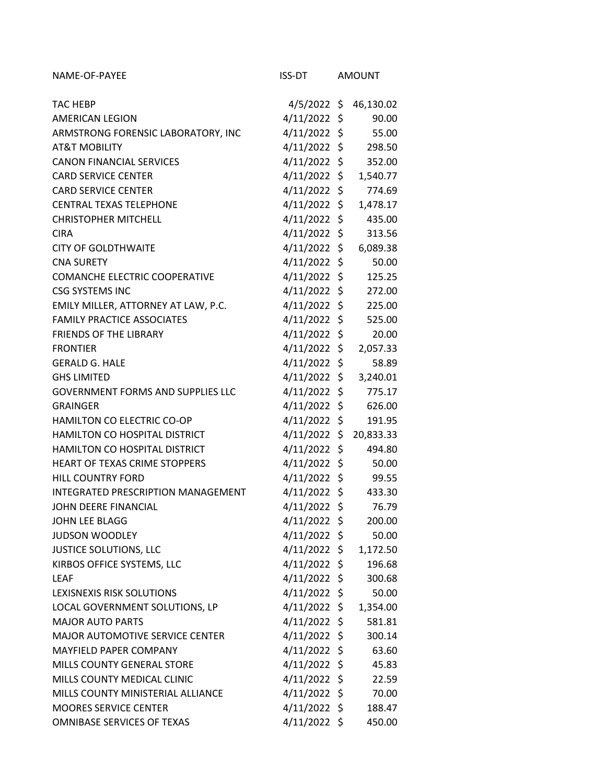| NAME-OF-PAYEE                            | ISS-DT         | <b>AMOUNT</b> |           |
|------------------------------------------|----------------|---------------|-----------|
| <b>TAC HEBP</b>                          | 4/5/2022 \$    |               | 46,130.02 |
| <b>AMERICAN LEGION</b>                   | $4/11/2022$ \$ |               | 90.00     |
| ARMSTRONG FORENSIC LABORATORY, INC       | $4/11/2022$ \$ |               | 55.00     |
| <b>AT&amp;T MOBILITY</b>                 | $4/11/2022$ \$ |               | 298.50    |
| <b>CANON FINANCIAL SERVICES</b>          | 4/11/2022 \$   |               | 352.00    |
| <b>CARD SERVICE CENTER</b>               | 4/11/2022 \$   |               | 1,540.77  |
| <b>CARD SERVICE CENTER</b>               | $4/11/2022$ \$ |               | 774.69    |
| <b>CENTRAL TEXAS TELEPHONE</b>           | 4/11/2022 \$   |               | 1,478.17  |
| <b>CHRISTOPHER MITCHELL</b>              | $4/11/2022$ \$ |               | 435.00    |
| <b>CIRA</b>                              | 4/11/2022 \$   |               | 313.56    |
| <b>CITY OF GOLDTHWAITE</b>               | $4/11/2022$ \$ |               | 6,089.38  |
| <b>CNA SURETY</b>                        | $4/11/2022$ \$ |               | 50.00     |
| COMANCHE ELECTRIC COOPERATIVE            | $4/11/2022$ \$ |               | 125.25    |
| <b>CSG SYSTEMS INC</b>                   | 4/11/2022 \$   |               | 272.00    |
| EMILY MILLER, ATTORNEY AT LAW, P.C.      | 4/11/2022 \$   |               | 225.00    |
| <b>FAMILY PRACTICE ASSOCIATES</b>        | $4/11/2022$ \$ |               | 525.00    |
| <b>FRIENDS OF THE LIBRARY</b>            | $4/11/2022$ \$ |               | 20.00     |
| <b>FRONTIER</b>                          | 4/11/2022 \$   |               | 2,057.33  |
| <b>GERALD G. HALE</b>                    | $4/11/2022$ \$ |               | 58.89     |
| <b>GHS LIMITED</b>                       | 4/11/2022 \$   |               | 3,240.01  |
| <b>GOVERNMENT FORMS AND SUPPLIES LLC</b> | $4/11/2022$ \$ |               | 775.17    |
| <b>GRAINGER</b>                          | $4/11/2022$ \$ |               | 626.00    |
| HAMILTON CO ELECTRIC CO-OP               | $4/11/2022$ \$ |               | 191.95    |
| HAMILTON CO HOSPITAL DISTRICT            | 4/11/2022 \$   |               | 20,833.33 |
| HAMILTON CO HOSPITAL DISTRICT            | $4/11/2022$ \$ |               | 494.80    |
| HEART OF TEXAS CRIME STOPPERS            | $4/11/2022$ \$ |               | 50.00     |
| <b>HILL COUNTRY FORD</b>                 | $4/11/2022$ \$ |               | 99.55     |
| INTEGRATED PRESCRIPTION MANAGEMENT       | $4/11/2022$ \$ |               | 433.30    |
| JOHN DEERE FINANCIAL                     | 4/11/2022 \$   |               | 76.79     |
| JOHN LEE BLAGG                           | $4/11/2022$ \$ |               | 200.00    |
| <b>JUDSON WOODLEY</b>                    | 4/11/2022 \$   |               | 50.00     |
| <b>JUSTICE SOLUTIONS, LLC</b>            | 4/11/2022 \$   |               | 1,172.50  |
| KIRBOS OFFICE SYSTEMS, LLC               | 4/11/2022 \$   |               | 196.68    |
| <b>LEAF</b>                              | 4/11/2022 \$   |               | 300.68    |
| LEXISNEXIS RISK SOLUTIONS                | $4/11/2022$ \$ |               | 50.00     |
| LOCAL GOVERNMENT SOLUTIONS, LP           | 4/11/2022 \$   |               | 1,354.00  |
| <b>MAJOR AUTO PARTS</b>                  | 4/11/2022 \$   |               | 581.81    |
| <b>MAJOR AUTOMOTIVE SERVICE CENTER</b>   | 4/11/2022 \$   |               | 300.14    |
| MAYFIELD PAPER COMPANY                   | $4/11/2022$ \$ |               | 63.60     |
| MILLS COUNTY GENERAL STORE               | $4/11/2022$ \$ |               | 45.83     |
| MILLS COUNTY MEDICAL CLINIC              | 4/11/2022 \$   |               | 22.59     |
| MILLS COUNTY MINISTERIAL ALLIANCE        | $4/11/2022$ \$ |               | 70.00     |
| <b>MOORES SERVICE CENTER</b>             | 4/11/2022 \$   |               | 188.47    |
| OMNIBASE SERVICES OF TEXAS               | 4/11/2022 \$   |               | 450.00    |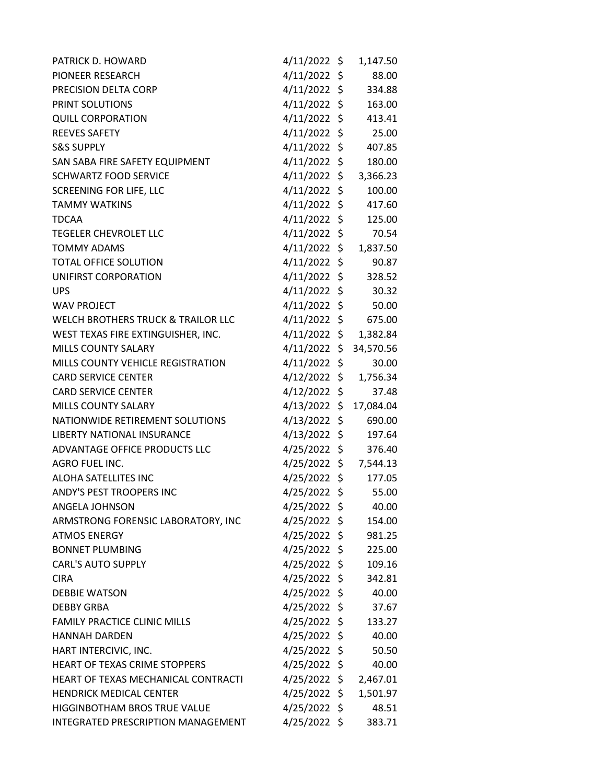| PATRICK D. HOWARD                             | $4/11/2022$ \$       | 1,147.50       |
|-----------------------------------------------|----------------------|----------------|
| PIONEER RESEARCH                              | $4/11/2022$ \$       | 88.00          |
| PRECISION DELTA CORP                          | $4/11/2022$ \$       | 334.88         |
| PRINT SOLUTIONS                               | $4/11/2022$ \$       | 163.00         |
| <b>QUILL CORPORATION</b>                      | $4/11/2022$ \$       | 413.41         |
| <b>REEVES SAFETY</b>                          | 4/11/2022 \$         | 25.00          |
| <b>S&amp;S SUPPLY</b>                         | $4/11/2022$ \$       | 407.85         |
| SAN SABA FIRE SAFETY EQUIPMENT                | $4/11/2022$ \$       | 180.00         |
| <b>SCHWARTZ FOOD SERVICE</b>                  | $4/11/2022$ \$       | 3,366.23       |
| <b>SCREENING FOR LIFE, LLC</b>                | $4/11/2022$ \$       | 100.00         |
| <b>TAMMY WATKINS</b>                          | $4/11/2022$ \$       | 417.60         |
| <b>TDCAA</b>                                  | $4/11/2022$ \$       | 125.00         |
| <b>TEGELER CHEVROLET LLC</b>                  | 4/11/2022            | \$<br>70.54    |
| <b>TOMMY ADAMS</b>                            | $4/11/2022 \; \zeta$ | 1,837.50       |
| <b>TOTAL OFFICE SOLUTION</b>                  | $4/11/2022$ \$       | 90.87          |
| UNIFIRST CORPORATION                          | $4/11/2022$ \$       | 328.52         |
| <b>UPS</b>                                    | $4/11/2022$ \$       | 30.32          |
| <b>WAV PROJECT</b>                            | 4/11/2022            | \$<br>50.00    |
| <b>WELCH BROTHERS TRUCK &amp; TRAILOR LLC</b> | $4/11/2022$ \$       | 675.00         |
| WEST TEXAS FIRE EXTINGUISHER, INC.            | 4/11/2022 \$         | 1,382.84       |
| MILLS COUNTY SALARY                           | $4/11/2022 \; \zeta$ | 34,570.56      |
| MILLS COUNTY VEHICLE REGISTRATION             | $4/11/2022$ \$       | 30.00          |
| <b>CARD SERVICE CENTER</b>                    | $4/12/2022$ \$       | 1,756.34       |
| <b>CARD SERVICE CENTER</b>                    | $4/12/2022$ \$       | 37.48          |
| <b>MILLS COUNTY SALARY</b>                    | $4/13/2022$ \$       | 17,084.04      |
| NATIONWIDE RETIREMENT SOLUTIONS               | $4/13/2022$ \$       | 690.00         |
| LIBERTY NATIONAL INSURANCE                    | $4/13/2022$ \$       | 197.64         |
| ADVANTAGE OFFICE PRODUCTS LLC                 | 4/25/2022 \$         | 376.40         |
| AGRO FUEL INC.                                | 4/25/2022 \$         | 7,544.13       |
| ALOHA SATELLITES INC                          | $4/25/2022$ \$       | 177.05         |
| ANDY'S PEST TROOPERS INC                      | 4/25/2022            | \$<br>55.00    |
| ANGELA JOHNSON                                | $4/25/2022$ \$       | 40.00          |
| ARMSTRONG FORENSIC LABORATORY, INC            | $4/25/2022$ \$       | 154.00         |
| <b>ATMOS ENERGY</b>                           | $4/25/2022$ \$       | 981.25         |
| <b>BONNET PLUMBING</b>                        | 4/25/2022 \$         | 225.00         |
| <b>CARL'S AUTO SUPPLY</b>                     | 4/25/2022 \$         | 109.16         |
| <b>CIRA</b>                                   | $4/25/2022$ \$       | 342.81         |
| <b>DEBBIE WATSON</b>                          | $4/25/2022$ \$       | 40.00          |
| <b>DEBBY GRBA</b>                             | $4/25/2022$ \$       | 37.67          |
| <b>FAMILY PRACTICE CLINIC MILLS</b>           | $4/25/2022$ \$       | 133.27         |
| <b>HANNAH DARDEN</b>                          | $4/25/2022$ \$       | 40.00          |
| HART INTERCIVIC, INC.                         | $4/25/2022$ \$       | 50.50          |
| HEART OF TEXAS CRIME STOPPERS                 | $4/25/2022$ \$       | 40.00          |
| HEART OF TEXAS MECHANICAL CONTRACTI           | 4/25/2022            | \$<br>2,467.01 |
| <b>HENDRICK MEDICAL CENTER</b>                | $4/25/2022$ \$       | 1,501.97       |
| HIGGINBOTHAM BROS TRUE VALUE                  | $4/25/2022$ \$       | 48.51          |
| INTEGRATED PRESCRIPTION MANAGEMENT            | $4/25/2022$ \$       | 383.71         |